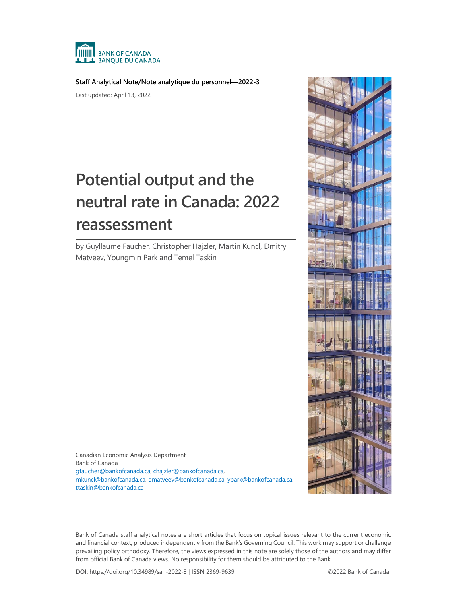

**Staff Analytical Note/Note analytique du personnel—2022-3**

Last updated: April 13, 2022

# **Potential output and the neutral rate in Canada: 2022 reassessment**

by Guyllaume Faucher, Christopher Hajzler, Martin Kuncl, Dmitry Matveev, Youngmin Park and Temel Taskin



Canadian Economic Analysis Department Bank of Canada [gfaucher@bankofcanada.ca,](mailto:gfaucher@bankofcanada.ca) [chajzler@bankofcanada.ca,](mailto:chajzler@bankofcanada.ca) [mkuncl@bankofcanada.ca,](mailto:mkuncl@bankofcanada.ca) [dmatveev@bankofcanada.ca,](mailto:dmatveev@bankofcanada.ca) [ypark@bankofcanada.ca,](mailto:ypark@bankofcanada.ca)  [ttaskin@bankofcanada.ca](mailto:ttaskin@bankofcanada.ca)

Bank of Canada staff analytical notes are short articles that focus on topical issues relevant to the current economic and financial context, produced independently from the Bank's Governing Council. This work may support or challenge prevailing policy orthodoxy. Therefore, the views expressed in this note are solely those of the authors and may differ from official Bank of Canada views. No responsibility for them should be attributed to the Bank.

**DOI:** https://doi.org/10.34989/san-2022-3 | **ISSN** 2369-9639 ©2022 Bank of Canada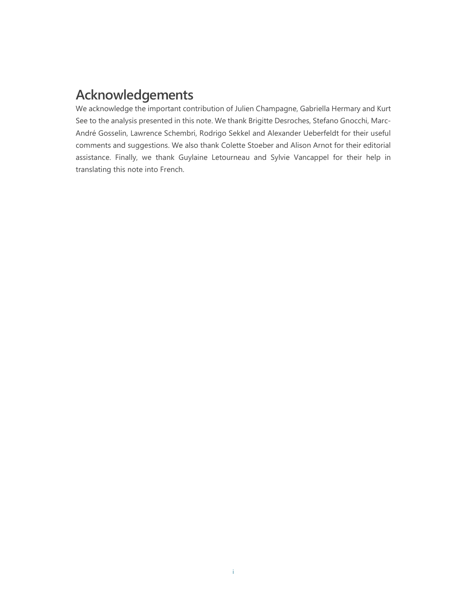# **Acknowledgements**

We acknowledge the important contribution of Julien Champagne, Gabriella Hermary and Kurt See to the analysis presented in this note. We thank Brigitte Desroches, Stefano Gnocchi, Marc-André Gosselin, Lawrence Schembri, Rodrigo Sekkel and Alexander Ueberfeldt for their useful comments and suggestions. We also thank Colette Stoeber and Alison Arnot for their editorial assistance. Finally, we thank Guylaine Letourneau and Sylvie Vancappel for their help in translating this note into French.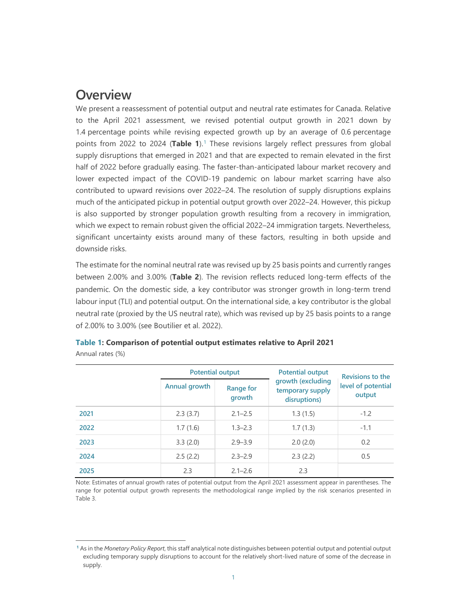### **Overview**

We present a reassessment of potential output and neutral rate estimates for Canada. Relative to the April 2021 assessment, we revised potential output growth in 2021 down by 1.4 percentage points while revising expected growth up by an average of 0.6 percentage points from 2022 to 2024 (Table [1](#page-2-0)).<sup>1</sup> These revisions largely reflect pressures from global supply disruptions that emerged in 2021 and that are expected to remain elevated in the first half of 2022 before gradually easing. The faster-than-anticipated labour market recovery and lower expected impact of the COVID-19 pandemic on labour market scarring have also contributed to upward revisions over 2022–24. The resolution of supply disruptions explains much of the anticipated pickup in potential output growth over 2022–24. However, this pickup is also supported by stronger population growth resulting from a recovery in immigration, which we expect to remain robust given the official 2022–24 immigration targets. Nevertheless, significant uncertainty exists around many of these factors, resulting in both upside and downside risks.

The estimate for the nominal neutral rate was revised up by 25 basis points and currently ranges between 2.00% and 3.00% (**Table 2**). The revision reflects reduced long-term effects of the pandemic. On the domestic side, a key contributor was stronger growth in long-term trend labour input (TLI) and potential output. On the international side, a key contributor is the global neutral rate (proxied by the US neutral rate), which was revised up by 25 basis points to a range of 2.00% to 3.00% (see Boutilier et al. 2022).

|      | <b>Potential output</b> |                            | <b>Potential output</b>                               | <b>Revisions to the</b>      |
|------|-------------------------|----------------------------|-------------------------------------------------------|------------------------------|
|      | Annual growth           | <b>Range for</b><br>growth | growth (excluding<br>temporary supply<br>disruptions) | level of potential<br>output |
| 2021 | 2.3(3.7)                | $2.1 - 2.5$                | 1.3(1.5)                                              | $-1.2$                       |
| 2022 | 1.7(1.6)                | $1.3 - 2.3$                | 1.7(1.3)                                              | $-1.1$                       |
| 2023 | 3.3(2.0)                | $2.9 - 3.9$                | 2.0(2.0)                                              | 0.2                          |
| 2024 | 2.5(2.2)                | $2.3 - 2.9$                | 2.3(2.2)                                              | 0.5                          |
| 2025 | 2.3                     | $2.1 - 2.6$                | 2.3                                                   |                              |

| Table 1: Comparison of potential output estimates relative to April 2021 |  |  |  |
|--------------------------------------------------------------------------|--|--|--|
| Annual rates (%)                                                         |  |  |  |

Note: Estimates of annual growth rates of potential output from the April 2021 assessment appear in parentheses. The range for potential output growth represents the methodological range implied by the risk scenarios presented in Table 3.

<span id="page-2-0"></span>**<sup>1</sup>** As in the *Monetary Policy Report*, this staff analytical note distinguishes between potential output and potential output excluding temporary supply disruptions to account for the relatively short-lived nature of some of the decrease in supply.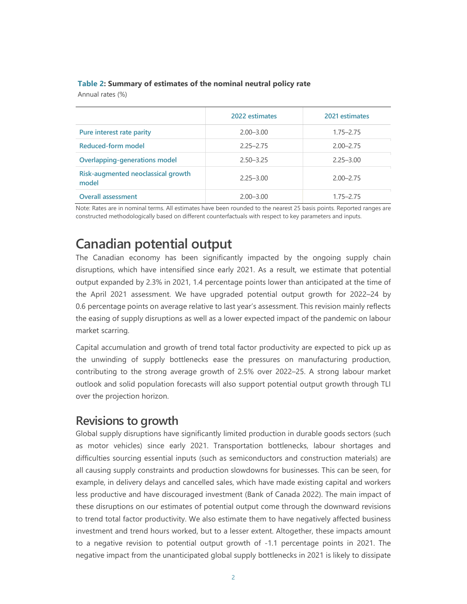|                                             | 2022 estimates | 2021 estimates |
|---------------------------------------------|----------------|----------------|
| Pure interest rate parity                   | $2.00 - 3.00$  | $1.75 - 2.75$  |
| Reduced-form model                          | $2.25 - 2.75$  | $2.00 - 2.75$  |
| <b>Overlapping-generations model</b>        | $2.50 - 3.25$  | $2.25 - 3.00$  |
| Risk-augmented neoclassical growth<br>model | $2.25 - 3.00$  | $2.00 - 2.75$  |
| <b>Overall assessment</b>                   | $2.00 - 3.00$  | $1.75 - 2.75$  |

#### **Table 2: Summary of estimates of the nominal neutral policy rate**

Annual rates (%)

Note: Rates are in nominal terms. All estimates have been rounded to the nearest 25 basis points. Reported ranges are constructed methodologically based on different counterfactuals with respect to key parameters and inputs.

# **Canadian potential output**

The Canadian economy has been significantly impacted by the ongoing supply chain disruptions, which have intensified since early 2021. As a result, we estimate that potential output expanded by 2.3% in 2021, 1.4 percentage points lower than anticipated at the time of the April 2021 assessment. We have upgraded potential output growth for 2022–24 by 0.6 percentage points on average relative to last year's assessment. This revision mainly reflects the easing of supply disruptions as well as a lower expected impact of the pandemic on labour market scarring.

Capital accumulation and growth of trend total factor productivity are expected to pick up as the unwinding of supply bottlenecks ease the pressures on manufacturing production, contributing to the strong average growth of 2.5% over 2022–25. A strong labour market outlook and solid population forecasts will also support potential output growth through TLI over the projection horizon.

### **Revisions to growth**

Global supply disruptions have significantly limited production in durable goods sectors (such as motor vehicles) since early 2021. Transportation bottlenecks, labour shortages and difficulties sourcing essential inputs (such as semiconductors and construction materials) are all causing supply constraints and production slowdowns for businesses. This can be seen, for example, in delivery delays and cancelled sales, which have made existing capital and workers less productive and have discouraged investment (Bank of Canada 2022). The main impact of these disruptions on our estimates of potential output come through the downward revisions to trend total factor productivity. We also estimate them to have negatively affected business investment and trend hours worked, but to a lesser extent. Altogether, these impacts amount to a negative revision to potential output growth of -1.1 percentage points in 2021. The negative impact from the unanticipated global supply bottlenecks in 2021 is likely to dissipate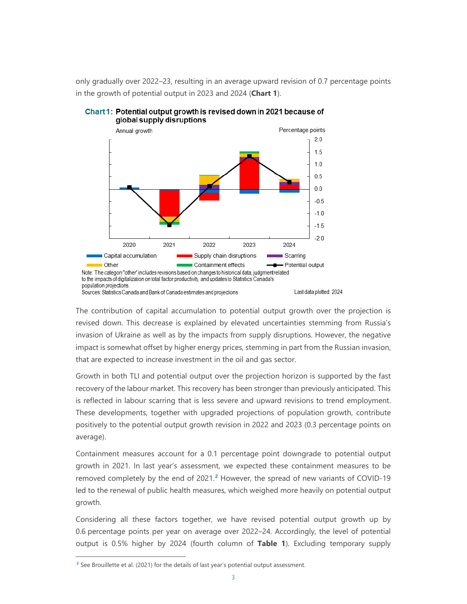only gradually over 2022–23, resulting in an average upward revision of 0.7 percentage points in the growth of potential output in 2023 and 2024 (**Chart 1**).





The contribution of capital accumulation to potential output growth over the projection is revised down. This decrease is explained by elevated uncertainties stemming from Russia's invasion of Ukraine as well as by the impacts from supply disruptions. However, the negative impact is somewhat offset by higher energy prices, stemming in part from the Russian invasion, that are expected to increase investment in the oil and gas sector.

Growth in both TLI and potential output over the projection horizon is supported by the fast recovery of the labour market. This recovery has been stronger than previously anticipated. This is reflected in labour scarring that is less severe and upward revisions to trend employment. These developments, together with upgraded projections of population growth, contribute positively to the potential output growth revision in 2022 and 2023 (0.3 percentage points on average).

Containment measures account for a 0.1 percentage point downgrade to potential output growth in 2021. In last year's assessment, we expected these containment measures to be removed completely by the end of 2021.**[2](#page-4-0)** However, the spread of new variants of COVID-19 led to the renewal of public health measures, which weighed more heavily on potential output growth.

Considering all these factors together, we have revised potential output growth up by 0.6 percentage points per year on average over 2022–24. Accordingly, the level of potential output is 0.5% higher by 2024 (fourth column of **Table 1**). Excluding temporary supply

<span id="page-4-0"></span>**<sup>2</sup>** See Brouillette et al. (2021) for the details of last year's potential output assessment.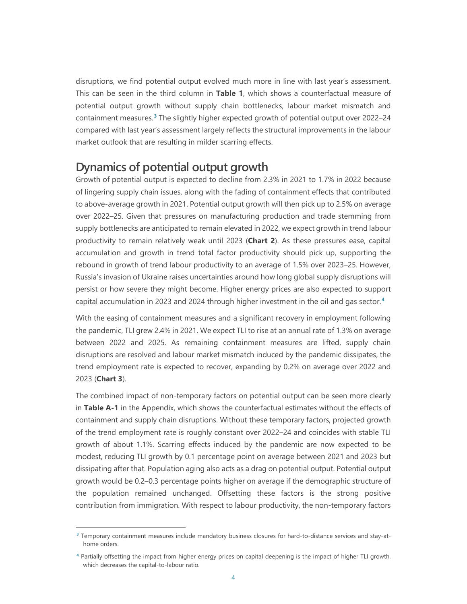disruptions, we find potential output evolved much more in line with last year's assessment. This can be seen in the third column in **Table 1**, which shows a counterfactual measure of potential output growth without supply chain bottlenecks, labour market mismatch and containment measures.**[3](#page-5-0)** The slightly higher expected growth of potential output over 2022–24 compared with last year's assessment largely reflects the structural improvements in the labour market outlook that are resulting in milder scarring effects.

### **Dynamics of potential output growth**

Growth of potential output is expected to decline from 2.3% in 2021 to 1.7% in 2022 because of lingering supply chain issues, along with the fading of containment effects that contributed to above-average growth in 2021. Potential output growth will then pick up to 2.5% on average over 2022–25. Given that pressures on manufacturing production and trade stemming from supply bottlenecks are anticipated to remain elevated in 2022, we expect growth in trend labour productivity to remain relatively weak until 2023 (**Chart 2**). As these pressures ease, capital accumulation and growth in trend total factor productivity should pick up, supporting the rebound in growth of trend labour productivity to an average of 1.5% over 2023–25. However, Russia's invasion of Ukraine raises uncertainties around how long global supply disruptions will persist or how severe they might become. Higher energy prices are also expected to support capital accumulation in 2023 and 2024 through higher investment in the oil and gas sector.**[4](#page-5-1)**

With the easing of containment measures and a significant recovery in employment following the pandemic, TLI grew 2.4% in 2021. We expect TLI to rise at an annual rate of 1.3% on average between 2022 and 2025. As remaining containment measures are lifted, supply chain disruptions are resolved and labour market mismatch induced by the pandemic dissipates, the trend employment rate is expected to recover, expanding by 0.2% on average over 2022 and 2023 (**Chart 3**).

The combined impact of non-temporary factors on potential output can be seen more clearly in **Table A-1** in the Appendix, which shows the counterfactual estimates without the effects of containment and supply chain disruptions. Without these temporary factors, projected growth of the trend employment rate is roughly constant over 2022–24 and coincides with stable TLI growth of about 1.1%. Scarring effects induced by the pandemic are now expected to be modest, reducing TLI growth by 0.1 percentage point on average between 2021 and 2023 but dissipating after that. Population aging also acts as a drag on potential output. Potential output growth would be 0.2–0.3 percentage points higher on average if the demographic structure of the population remained unchanged. Offsetting these factors is the strong positive contribution from immigration. With respect to labour productivity, the non-temporary factors

<span id="page-5-0"></span>**<sup>3</sup>** Temporary containment measures include mandatory business closures for hard-to-distance services and stay-athome orders.

<span id="page-5-1"></span>**<sup>4</sup>** Partially offsetting the impact from higher energy prices on capital deepening is the impact of higher TLI growth, which decreases the capital-to-labour ratio.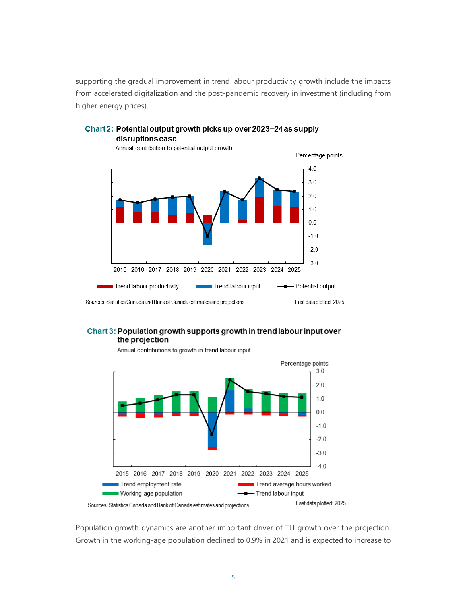supporting the gradual improvement in trend labour productivity growth include the impacts from accelerated digitalization and the post-pandemic recovery in investment (including from higher energy prices).



#### Chart 2: Potential output growth picks up over 2023-24 as supply disruptions ease





Annual contributions to growth in trend labour input

Population growth dynamics are another important driver of TLI growth over the projection. Growth in the working-age population declined to 0.9% in 2021 and is expected to increase to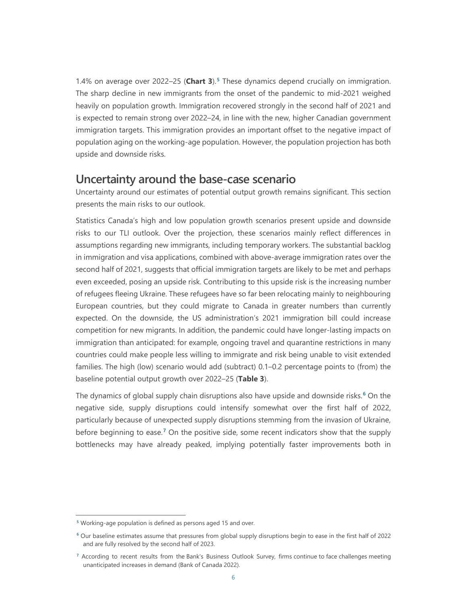1.4% on average over 2022–25 (**Chart 3**).**[5](#page-7-0)** These dynamics depend crucially on immigration. The sharp decline in new immigrants from the onset of the pandemic to mid-2021 weighed heavily on population growth. Immigration recovered strongly in the second half of 2021 and is expected to remain strong over 2022–24, in line with the new, higher Canadian government immigration targets. This immigration provides an important offset to the negative impact of population aging on the working-age population. However, the population projection has both upside and downside risks.

### **Uncertainty around the base-case scenario**

Uncertainty around our estimates of potential output growth remains significant. This section presents the main risks to our outlook.

Statistics Canada's high and low population growth scenarios present upside and downside risks to our TLI outlook. Over the projection, these scenarios mainly reflect differences in assumptions regarding new immigrants, including temporary workers. The substantial backlog in immigration and visa applications, combined with above-average immigration rates over the second half of 2021, suggests that official immigration targets are likely to be met and perhaps even exceeded, posing an upside risk. Contributing to this upside risk is the increasing number of refugees fleeing Ukraine. These refugees have so far been relocating mainly to neighbouring European countries, but they could migrate to Canada in greater numbers than currently expected. On the downside, the US administration's 2021 immigration bill could increase competition for new migrants. In addition, the pandemic could have longer-lasting impacts on immigration than anticipated: for example, ongoing travel and quarantine restrictions in many countries could make people less willing to immigrate and risk being unable to visit extended families. The high (low) scenario would add (subtract) 0.1–0.2 percentage points to (from) the baseline potential output growth over 2022–25 (**Table 3**).

The dynamics of global supply chain disruptions also have upside and downside risks.**[6](#page-7-1)** On the negative side, supply disruptions could intensify somewhat over the first half of 2022, particularly because of unexpected supply disruptions stemming from the invasion of Ukraine, before beginning to ease. **[7](#page-7-2)** On the positive side, some recent indicators show that the supply bottlenecks may have already peaked, implying potentially faster improvements both in

<span id="page-7-0"></span>**<sup>5</sup>** Working-age population is defined as persons aged 15 and over.

<span id="page-7-1"></span>**<sup>6</sup>** Our baseline estimates assume that pressures from global supply disruptions begin to ease in the first half of 2022 and are fully resolved by the second half of 2023.

<span id="page-7-2"></span>**<sup>7</sup>** According to recent results from the Bank's Business Outlook Survey, firms continue to face challenges meeting unanticipated increases in demand (Bank of Canada 2022).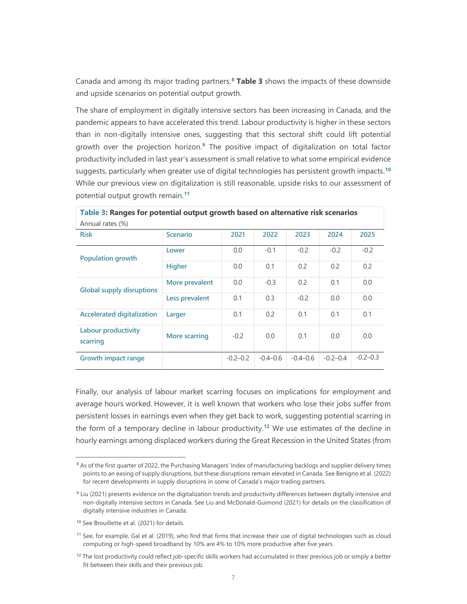Canada and among its major trading partners.**[8](#page-8-0) Table 3** shows the impacts of these downside and upside scenarios on potential output growth.

The share of employment in digitally intensive sectors has been increasing in Canada, and the pandemic appears to have accelerated this trend. Labour productivity is higher in these sectors than in non-digitally intensive ones, suggesting that this sectoral shift could lift potential growth over the projection horizon.**[9](#page-8-1)** The positive impact of digitalization on total factor productivity included in last year's assessment is small relative to what some empirical evidence suggests, particularly when greater use of digital technologies has persistent growth impacts.**[10](#page-8-2)** While our previous view on digitalization is still reasonable, upside risks to our assessment of potential output growth remain. **[11](#page-8-3)**

| Table 3: Ranges for potential output growth based on alternative risk scenarios |                      |              |            |              |              |              |
|---------------------------------------------------------------------------------|----------------------|--------------|------------|--------------|--------------|--------------|
| Annual rates (%)                                                                |                      |              |            |              |              |              |
| <b>Risk</b>                                                                     | <b>Scenario</b>      | 2021         | 2022       | 2023         | 2024         | 2025         |
| <b>Population growth</b>                                                        | Lower                | 0.0          | $-0.1$     | $-0.2$       | $-0.2$       | $-0.2$       |
|                                                                                 | <b>Higher</b>        | 0.0          | 0.1        | 0.2          | 0.2          | 0.2          |
| <b>Global supply disruptions</b>                                                | More prevalent       | 0.0          | $-0.3$     | 0.2          | 0.1          | 0.0          |
|                                                                                 | Less prevalent       | 0.1          | 0.3        | $-0.2$       | 0.0          | 0.0          |
| <b>Accelerated digitalization</b>                                               | Larger               | 0.1          | 0.2        | 0.1          | 0.1          | 0.1          |
| Labour productivity<br>scarring                                                 | <b>More scarring</b> | $-0.2$       | 0.0        | 0.1          | 0.0          | 0.0          |
| <b>Growth impact range</b>                                                      |                      | $-0.2 - 0.2$ | $-0.4-0.6$ | $-0.4 - 0.6$ | $-0.2 - 0.4$ | $-0.2 - 0.3$ |

Finally, our analysis of labour market scarring focuses on implications for employment and average hours worked. However, it is well known that workers who lose their jobs suffer from persistent losses in earnings even when they get back to work, suggesting potential scarring in the form of a temporary decline in labour productivity.**[12](#page-8-4)** We use estimates of the decline in hourly earnings among displaced workers during the Great Recession in the United States (from

<span id="page-8-0"></span>**<sup>8</sup>** As of the first quarter of 2022, the Purchasing Managers' Index of manufacturing backlogs and supplier delivery times points to an easing of supply disruptions, but these disruptions remain elevated in Canada. See Benigno et al. (2022) for recent developments in supply disruptions in some of Canada's major trading partners.

<span id="page-8-1"></span>**<sup>9</sup>** Liu (2021) presents evidence on the digitalization trends and productivity differences between digitally intensive and non-digitally intensive sectors in Canada. See Liu and McDonald-Guimond (2021) for details on the classification of digitally intensive industries in Canada.

<span id="page-8-2"></span>**<sup>10</sup>** See Brouillette et al. (2021) for details.

<span id="page-8-3"></span>**<sup>11</sup>** See, for example, Gal et al. (2019), who find that firms that increase their use of digital technologies such as cloud computing or high-speed broadband by 10% are 4% to 10% more productive after five years.

<span id="page-8-4"></span>**<sup>12</sup>** The lost productivity could reflect job-specific skills workers had accumulated in their previous job or simply a better fit between their skills and their previous job.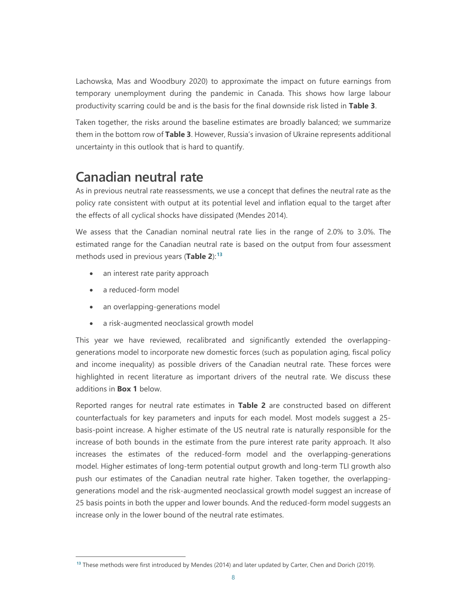Lachowska, Mas and Woodbury 2020) to approximate the impact on future earnings from temporary unemployment during the pandemic in Canada. This shows how large labour productivity scarring could be and is the basis for the final downside risk listed in **Table 3**.

Taken together, the risks around the baseline estimates are broadly balanced; we summarize them in the bottom row of **Table 3**. However, Russia's invasion of Ukraine represents additional uncertainty in this outlook that is hard to quantify.

# **Canadian neutral rate**

As in previous neutral rate reassessments, we use a concept that defines the neutral rate as the policy rate consistent with output at its potential level and inflation equal to the target after the effects of all cyclical shocks have dissipated (Mendes 2014).

We assess that the Canadian nominal neutral rate lies in the range of 2.0% to 3.0%. The estimated range for the Canadian neutral rate is based on the output from four assessment methods used in previous years (**Table 2**): **[13](#page-9-0)**

- an interest rate parity approach
- a reduced-form model
- an overlapping-generations model
- a risk-augmented neoclassical growth model

This year we have reviewed, recalibrated and significantly extended the overlappinggenerations model to incorporate new domestic forces (such as population aging, fiscal policy and income inequality) as possible drivers of the Canadian neutral rate. These forces were highlighted in recent literature as important drivers of the neutral rate. We discuss these additions in **Box 1** below.

Reported ranges for neutral rate estimates in **Table 2** are constructed based on different counterfactuals for key parameters and inputs for each model. Most models suggest a 25 basis-point increase. A higher estimate of the US neutral rate is naturally responsible for the increase of both bounds in the estimate from the pure interest rate parity approach. It also increases the estimates of the reduced-form model and the overlapping-generations model. Higher estimates of long-term potential output growth and long-term TLI growth also push our estimates of the Canadian neutral rate higher. Taken together, the overlappinggenerations model and the risk-augmented neoclassical growth model suggest an increase of 25 basis points in both the upper and lower bounds. And the reduced-form model suggests an increase only in the lower bound of the neutral rate estimates.

<span id="page-9-0"></span>**<sup>13</sup>** These methods were first introduced by Mendes (2014) and later updated by Carter, Chen and Dorich (2019).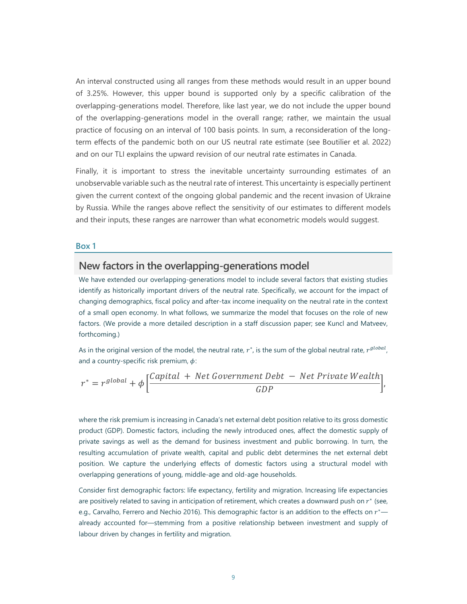An interval constructed using all ranges from these methods would result in an upper bound of 3.25%. However, this upper bound is supported only by a specific calibration of the overlapping-generations model. Therefore, like last year, we do not include the upper bound of the overlapping-generations model in the overall range; rather, we maintain the usual practice of focusing on an interval of 100 basis points. In sum, a reconsideration of the longterm effects of the pandemic both on our US neutral rate estimate (see Boutilier et al. 2022) and on our TLI explains the upward revision of our neutral rate estimates in Canada.

Finally, it is important to stress the inevitable uncertainty surrounding estimates of an unobservable variable such as the neutral rate of interest. This uncertainty is especially pertinent given the current context of the ongoing global pandemic and the recent invasion of Ukraine by Russia. While the ranges above reflect the sensitivity of our estimates to different models and their inputs, these ranges are narrower than what econometric models would suggest.

#### **Box 1**

### **New factors in the overlapping-generations model**

We have extended our overlapping-generations model to include several factors that existing studies identify as historically important drivers of the neutral rate. Specifically, we account for the impact of changing demographics, fiscal policy and after-tax income inequality on the neutral rate in the context of a small open economy. In what follows, we summarize the model that focuses on the role of new factors. (We provide a more detailed description in a staff discussion paper; see Kuncl and Matveev, forthcoming.)

As in the original version of the model, the neutral rate,  $r^*$ , is the sum of the global neutral rate,  $r^{global}$ , and a country-specific risk premium,  $\phi$ :

$$
r^* = r^{global} + \phi \left[ \frac{Capital + Net Government Debt - Net Private Weather}{GDP} \right],
$$

where the risk premium is increasing in Canada's net external debt position relative to its gross domestic product (GDP). Domestic factors, including the newly introduced ones, affect the domestic supply of private savings as well as the demand for business investment and public borrowing. In turn, the resulting accumulation of private wealth, capital and public debt determines the net external debt position. We capture the underlying effects of domestic factors using a structural model with overlapping generations of young, middle-age and old-age households.

Consider first demographic factors: life expectancy, fertility and migration. Increasing life expectancies are positively related to saving in anticipation of retirement, which creates a downward push on  $r^*$  (see, e.g., Carvalho, Ferrero and Nechio 2016). This demographic factor is an addition to the effects on  $r^*$ already accounted for—stemming from a positive relationship between investment and supply of labour driven by changes in fertility and migration.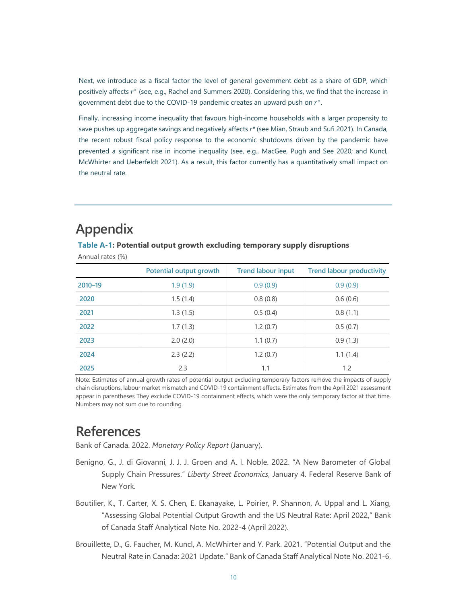Next, we introduce as a fiscal factor the level of general government debt as a share of GDP, which positively affects  $r^*$  (see, e.g., Rachel and Summers 2020). Considering this, we find that the increase in government debt due to the COVID-19 pandemic creates an upward push on  $r^*$ .

Finally, increasing income inequality that favours high-income households with a larger propensity to save pushes up aggregate savings and negatively affects *r\** (see Mian, Straub and Sufi 2021). In Canada, the recent robust fiscal policy response to the economic shutdowns driven by the pandemic have prevented a significant rise in income inequality (see, e.g., MacGee, Pugh and See 2020; and Kuncl, McWhirter and Ueberfeldt 2021). As a result, this factor currently has a quantitatively small impact on the neutral rate.

| Annual rates (%) |                         |                           |                                  |  |  |  |
|------------------|-------------------------|---------------------------|----------------------------------|--|--|--|
|                  | Potential output growth | <b>Trend labour input</b> | <b>Trend labour productivity</b> |  |  |  |
| 2010-19          | 1.9(1.9)                | 0.9(0.9)                  | 0.9(0.9)                         |  |  |  |
| 2020             | 1.5(1.4)                | 0.8(0.8)                  | 0.6(0.6)                         |  |  |  |
| 2021             | 1.3(1.5)                | 0.5(0.4)                  | 0.8(1.1)                         |  |  |  |
| 2022             | 1.7(1.3)                | 1.2(0.7)                  | 0.5(0.7)                         |  |  |  |
| 2023             | 2.0(2.0)                | 1.1(0.7)                  | 0.9(1.3)                         |  |  |  |
| 2024             | 2.3(2.2)                | 1.2(0.7)                  | 1.1(1.4)                         |  |  |  |
| 2025             | 2.3                     | 1.1                       | 1.2                              |  |  |  |

**Table A-1: Potential output growth excluding temporary supply disruptions**

**Appendix**

Note: Estimates of annual growth rates of potential output excluding temporary factors remove the impacts of supply chain disruptions, labour market mismatch and COVID-19 containment effects. Estimates from the April 2021 assessment appear in parentheses They exclude COVID-19 containment effects, which were the only temporary factor at that time. Numbers may not sum due to rounding.

# **References**

Bank of Canada. 2022. *Monetary Policy Report* (January).

- Benigno, G., J. di Giovanni, J. J. J. Groen and A. I. Noble. 2022. "A New Barometer of Global Supply Chain Pressures." *Liberty Street Economics*, January 4. Federal Reserve Bank of New York.
- Boutilier, K., T. Carter, X. S. Chen, E. Ekanayake, L. Poirier, P. Shannon, A. Uppal and L. Xiang, "Assessing Global Potential Output Growth and the US Neutral Rate: April 2022," Bank of Canada Staff Analytical Note No. 2022-4 (April 2022).
- Brouillette, D., G. Faucher, M. Kuncl, A. McWhirter and Y. Park. 2021. "Potential Output and the Neutral Rate in Canada: 2021 Update." Bank of Canada Staff Analytical Note No. 2021-6.